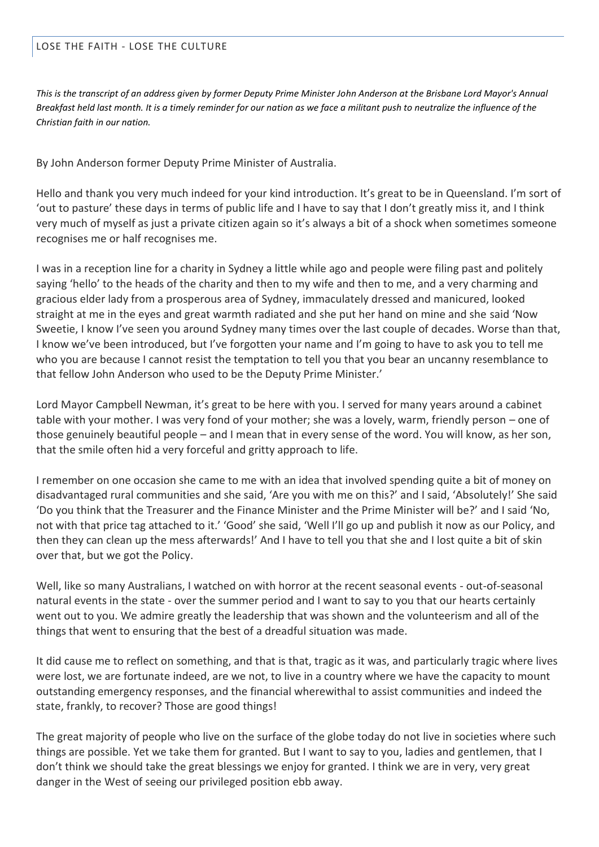## LOSE THE FAITH - LOSE THE CULTURE

*This is the transcript of an address given by former Deputy Prime Minister John Anderson at the Brisbane Lord Mayor's Annual Breakfast held last month. It is a timely reminder for our nation as we face a militant push to neutralize the influence of the Christian faith in our nation.*

By John Anderson former Deputy Prime Minister of Australia.

Hello and thank you very much indeed for your kind introduction. It's great to be in Queensland. I'm sort of 'out to pasture' these days in terms of public life and I have to say that I don't greatly miss it, and I think very much of myself as just a private citizen again so it's always a bit of a shock when sometimes someone recognises me or half recognises me.

I was in a reception line for a charity in Sydney a little while ago and people were filing past and politely saying 'hello' to the heads of the charity and then to my wife and then to me, and a very charming and gracious elder lady from a prosperous area of Sydney, immaculately dressed and manicured, looked straight at me in the eyes and great warmth radiated and she put her hand on mine and she said 'Now Sweetie, I know I've seen you around Sydney many times over the last couple of decades. Worse than that, I know we've been introduced, but I've forgotten your name and I'm going to have to ask you to tell me who you are because I cannot resist the temptation to tell you that you bear an uncanny resemblance to that fellow John Anderson who used to be the Deputy Prime Minister.'

Lord Mayor Campbell Newman, it's great to be here with you. I served for many years around a cabinet table with your mother. I was very fond of your mother; she was a lovely, warm, friendly person – one of those genuinely beautiful people – and I mean that in every sense of the word. You will know, as her son, that the smile often hid a very forceful and gritty approach to life.

I remember on one occasion she came to me with an idea that involved spending quite a bit of money on disadvantaged rural communities and she said, 'Are you with me on this?' and I said, 'Absolutely!' She said 'Do you think that the Treasurer and the Finance Minister and the Prime Minister will be?' and I said 'No, not with that price tag attached to it.' 'Good' she said, 'Well I'll go up and publish it now as our Policy, and then they can clean up the mess afterwards!' And I have to tell you that she and I lost quite a bit of skin over that, but we got the Policy.

Well, like so many Australians, I watched on with horror at the recent seasonal events - out-of-seasonal natural events in the state - over the summer period and I want to say to you that our hearts certainly went out to you. We admire greatly the leadership that was shown and the volunteerism and all of the things that went to ensuring that the best of a dreadful situation was made.

It did cause me to reflect on something, and that is that, tragic as it was, and particularly tragic where lives were lost, we are fortunate indeed, are we not, to live in a country where we have the capacity to mount outstanding emergency responses, and the financial wherewithal to assist communities and indeed the state, frankly, to recover? Those are good things!

The great majority of people who live on the surface of the globe today do not live in societies where such things are possible. Yet we take them for granted. But I want to say to you, ladies and gentlemen, that I don't think we should take the great blessings we enjoy for granted. I think we are in very, very great danger in the West of seeing our privileged position ebb away.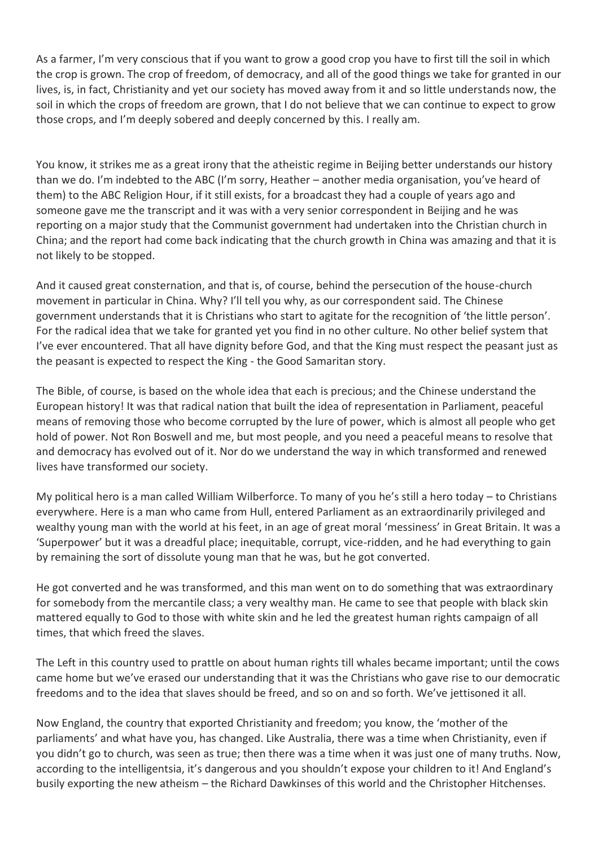As a farmer, I'm very conscious that if you want to grow a good crop you have to first till the soil in which the crop is grown. The crop of freedom, of democracy, and all of the good things we take for granted in our lives, is, in fact, Christianity and yet our society has moved away from it and so little understands now, the soil in which the crops of freedom are grown, that I do not believe that we can continue to expect to grow those crops, and I'm deeply sobered and deeply concerned by this. I really am.

You know, it strikes me as a great irony that the atheistic regime in Beijing better understands our history than we do. I'm indebted to the ABC (I'm sorry, Heather – another media organisation, you've heard of them) to the ABC Religion Hour, if it still exists, for a broadcast they had a couple of years ago and someone gave me the transcript and it was with a very senior correspondent in Beijing and he was reporting on a major study that the Communist government had undertaken into the Christian church in China; and the report had come back indicating that the church growth in China was amazing and that it is not likely to be stopped.

And it caused great consternation, and that is, of course, behind the persecution of the house-church movement in particular in China. Why? I'll tell you why, as our correspondent said. The Chinese government understands that it is Christians who start to agitate for the recognition of 'the little person'. For the radical idea that we take for granted yet you find in no other culture. No other belief system that I've ever encountered. That all have dignity before God, and that the King must respect the peasant just as the peasant is expected to respect the King - the Good Samaritan story.

The Bible, of course, is based on the whole idea that each is precious; and the Chinese understand the European history! It was that radical nation that built the idea of representation in Parliament, peaceful means of removing those who become corrupted by the lure of power, which is almost all people who get hold of power. Not Ron Boswell and me, but most people, and you need a peaceful means to resolve that and democracy has evolved out of it. Nor do we understand the way in which transformed and renewed lives have transformed our society.

My political hero is a man called William Wilberforce. To many of you he's still a hero today – to Christians everywhere. Here is a man who came from Hull, entered Parliament as an extraordinarily privileged and wealthy young man with the world at his feet, in an age of great moral 'messiness' in Great Britain. It was a 'Superpower' but it was a dreadful place; inequitable, corrupt, vice-ridden, and he had everything to gain by remaining the sort of dissolute young man that he was, but he got converted.

He got converted and he was transformed, and this man went on to do something that was extraordinary for somebody from the mercantile class; a very wealthy man. He came to see that people with black skin mattered equally to God to those with white skin and he led the greatest human rights campaign of all times, that which freed the slaves.

The Left in this country used to prattle on about human rights till whales became important; until the cows came home but we've erased our understanding that it was the Christians who gave rise to our democratic freedoms and to the idea that slaves should be freed, and so on and so forth. We've jettisoned it all.

Now England, the country that exported Christianity and freedom; you know, the 'mother of the parliaments' and what have you, has changed. Like Australia, there was a time when Christianity, even if you didn't go to church, was seen as true; then there was a time when it was just one of many truths. Now, according to the intelligentsia, it's dangerous and you shouldn't expose your children to it! And England's busily exporting the new atheism – the Richard Dawkinses of this world and the Christopher Hitchenses.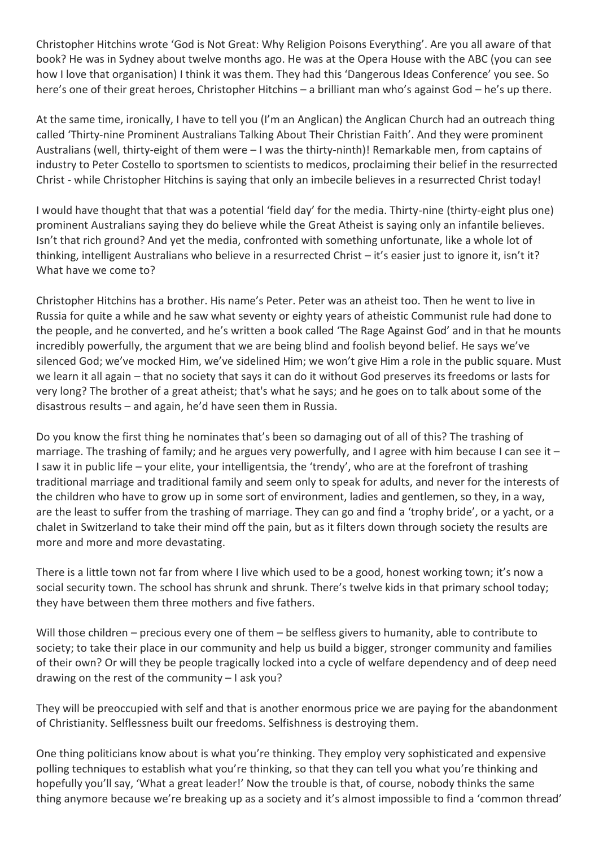Christopher Hitchins wrote 'God is Not Great: Why Religion Poisons Everything'. Are you all aware of that book? He was in Sydney about twelve months ago. He was at the Opera House with the ABC (you can see how I love that organisation) I think it was them. They had this 'Dangerous Ideas Conference' you see. So here's one of their great heroes, Christopher Hitchins – a brilliant man who's against God – he's up there.

At the same time, ironically, I have to tell you (I'm an Anglican) the Anglican Church had an outreach thing called 'Thirty-nine Prominent Australians Talking About Their Christian Faith'. And they were prominent Australians (well, thirty-eight of them were – I was the thirty-ninth)! Remarkable men, from captains of industry to Peter Costello to sportsmen to scientists to medicos, proclaiming their belief in the resurrected Christ - while Christopher Hitchins is saying that only an imbecile believes in a resurrected Christ today!

I would have thought that that was a potential 'field day' for the media. Thirty-nine (thirty-eight plus one) prominent Australians saying they do believe while the Great Atheist is saying only an infantile believes. Isn't that rich ground? And yet the media, confronted with something unfortunate, like a whole lot of thinking, intelligent Australians who believe in a resurrected Christ – it's easier just to ignore it, isn't it? What have we come to?

Christopher Hitchins has a brother. His name's Peter. Peter was an atheist too. Then he went to live in Russia for quite a while and he saw what seventy or eighty years of atheistic Communist rule had done to the people, and he converted, and he's written a book called 'The Rage Against God' and in that he mounts incredibly powerfully, the argument that we are being blind and foolish beyond belief. He says we've silenced God; we've mocked Him, we've sidelined Him; we won't give Him a role in the public square. Must we learn it all again – that no society that says it can do it without God preserves its freedoms or lasts for very long? The brother of a great atheist; that's what he says; and he goes on to talk about some of the disastrous results – and again, he'd have seen them in Russia.

Do you know the first thing he nominates that's been so damaging out of all of this? The trashing of marriage. The trashing of family; and he argues very powerfully, and I agree with him because I can see it – I saw it in public life – your elite, your intelligentsia, the 'trendy', who are at the forefront of trashing traditional marriage and traditional family and seem only to speak for adults, and never for the interests of the children who have to grow up in some sort of environment, ladies and gentlemen, so they, in a way, are the least to suffer from the trashing of marriage. They can go and find a 'trophy bride', or a yacht, or a chalet in Switzerland to take their mind off the pain, but as it filters down through society the results are more and more and more devastating.

There is a little town not far from where I live which used to be a good, honest working town; it's now a social security town. The school has shrunk and shrunk. There's twelve kids in that primary school today; they have between them three mothers and five fathers.

Will those children – precious every one of them – be selfless givers to humanity, able to contribute to society; to take their place in our community and help us build a bigger, stronger community and families of their own? Or will they be people tragically locked into a cycle of welfare dependency and of deep need drawing on the rest of the community – I ask you?

They will be preoccupied with self and that is another enormous price we are paying for the abandonment of Christianity. Selflessness built our freedoms. Selfishness is destroying them.

One thing politicians know about is what you're thinking. They employ very sophisticated and expensive polling techniques to establish what you're thinking, so that they can tell you what you're thinking and hopefully you'll say, 'What a great leader!' Now the trouble is that, of course, nobody thinks the same thing anymore because we're breaking up as a society and it's almost impossible to find a 'common thread'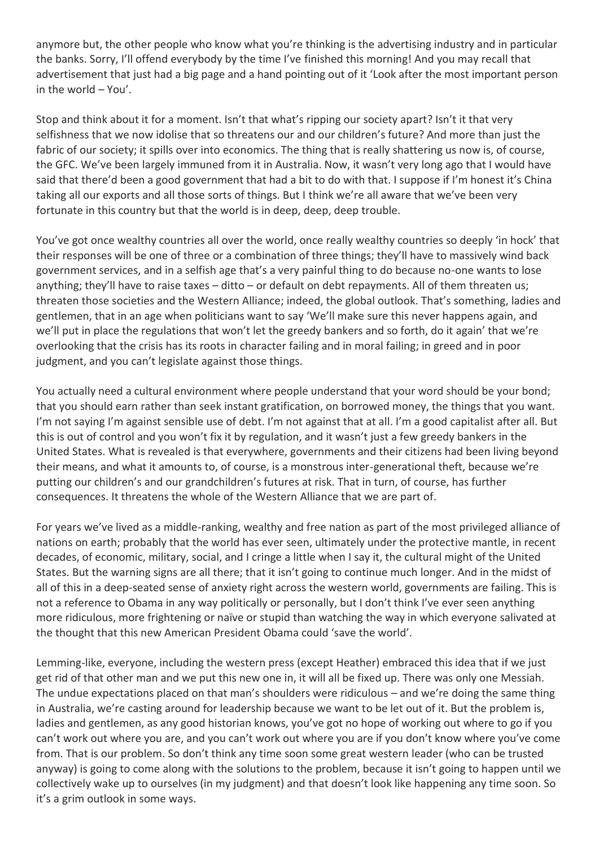anymore but, the other people who know what you're thinking is the advertising industry and in particular the banks. Sorry, I'll offend everybody by the time I've finished this morning! And you may recall that advertisement that just had a big page and a hand pointing out of it 'Look after the most important person in the world – You'.

Stop and think about it for a moment. Isn't that what's ripping our society apart? Isn't it that very selfishness that we now idolise that so threatens our and our children's future? And more than just the fabric of our society; it spills over into economics. The thing that is really shattering us now is, of course, the GFC. We've been largely immuned from it in Australia. Now, it wasn't very long ago that I would have said that there'd been a good government that had a bit to do with that. I suppose if I'm honest it's China taking all our exports and all those sorts of things. But I think we're all aware that we've been very fortunate in this country but that the world is in deep, deep, deep trouble.

You've got once wealthy countries all over the world, once really wealthy countries so deeply 'in hock' that their responses will be one of three or a combination of three things; they'll have to massively wind back government services, and in a selfish age that's a very painful thing to do because no-one wants to lose anything; they'll have to raise taxes – ditto – or default on debt repayments. All of them threaten us; threaten those societies and the Western Alliance; indeed, the global outlook. That's something, ladies and gentlemen, that in an age when politicians want to say 'We'll make sure this never happens again, and we'll put in place the regulations that won't let the greedy bankers and so forth, do it again' that we're overlooking that the crisis has its roots in character failing and in moral failing; in greed and in poor judgment, and you can't legislate against those things.

You actually need a cultural environment where people understand that your word should be your bond; that you should earn rather than seek instant gratification, on borrowed money, the things that you want. I'm not saying I'm against sensible use of debt. I'm not against that at all. I'm a good capitalist after all. But this is out of control and you won't fix it by regulation, and it wasn't just a few greedy bankers in the United States. What is revealed is that everywhere, governments and their citizens had been living beyond their means, and what it amounts to, of course, is a monstrous inter-generational theft, because we're putting our children's and our grandchildren's futures at risk. That in turn, of course, has further consequences. It threatens the whole of the Western Alliance that we are part of.

For years we've lived as a middle-ranking, wealthy and free nation as part of the most privileged alliance of nations on earth; probably that the world has ever seen, ultimately under the protective mantle, in recent decades, of economic, military, social, and I cringe a little when I say it, the cultural might of the United States. But the warning signs are all there; that it isn't going to continue much longer. And in the midst of all of this in a deep-seated sense of anxiety right across the western world, governments are failing. This is not a reference to Obama in any way politically or personally, but I don't think I've ever seen anything more ridiculous, more frightening or naïve or stupid than watching the way in which everyone salivated at the thought that this new American President Obama could 'save the world'.

Lemming-like, everyone, including the western press (except Heather) embraced this idea that if we just get rid of that other man and we put this new one in, it will all be fixed up. There was only one Messiah. The undue expectations placed on that man's shoulders were ridiculous – and we're doing the same thing in Australia, we're casting around for leadership because we want to be let out of it. But the problem is, ladies and gentlemen, as any good historian knows, you've got no hope of working out where to go if you can't work out where you are, and you can't work out where you are if you don't know where you've come from. That is our problem. So don't think any time soon some great western leader (who can be trusted anyway) is going to come along with the solutions to the problem, because it isn't going to happen until we collectively wake up to ourselves (in my judgment) and that doesn't look like happening any time soon. So it's a grim outlook in some ways.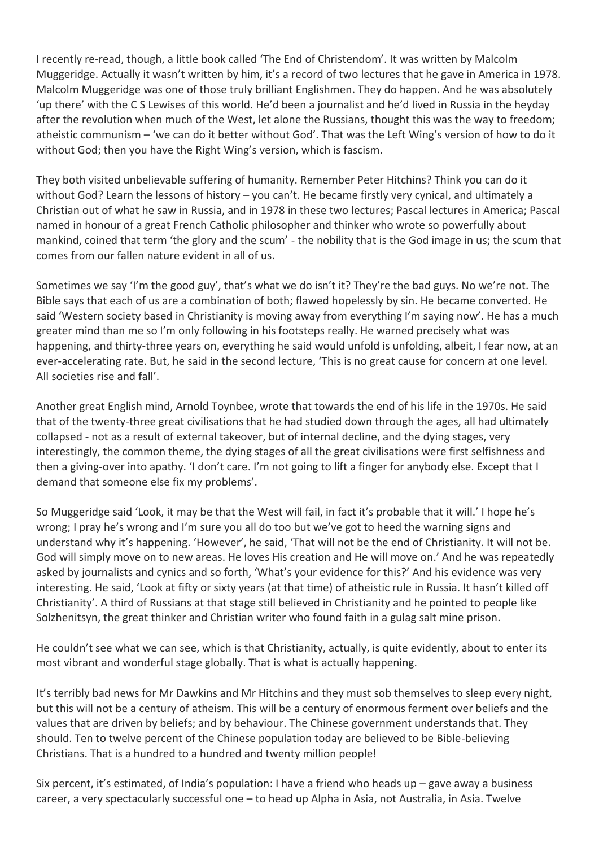I recently re-read, though, a little book called 'The End of Christendom'. It was written by Malcolm Muggeridge. Actually it wasn't written by him, it's a record of two lectures that he gave in America in 1978. Malcolm Muggeridge was one of those truly brilliant Englishmen. They do happen. And he was absolutely 'up there' with the C S Lewises of this world. He'd been a journalist and he'd lived in Russia in the heyday after the revolution when much of the West, let alone the Russians, thought this was the way to freedom; atheistic communism – 'we can do it better without God'. That was the Left Wing's version of how to do it without God; then you have the Right Wing's version, which is fascism.

They both visited unbelievable suffering of humanity. Remember Peter Hitchins? Think you can do it without God? Learn the lessons of history – you can't. He became firstly very cynical, and ultimately a Christian out of what he saw in Russia, and in 1978 in these two lectures; Pascal lectures in America; Pascal named in honour of a great French Catholic philosopher and thinker who wrote so powerfully about mankind, coined that term 'the glory and the scum' - the nobility that is the God image in us; the scum that comes from our fallen nature evident in all of us.

Sometimes we say 'I'm the good guy', that's what we do isn't it? They're the bad guys. No we're not. The Bible says that each of us are a combination of both; flawed hopelessly by sin. He became converted. He said 'Western society based in Christianity is moving away from everything I'm saying now'. He has a much greater mind than me so I'm only following in his footsteps really. He warned precisely what was happening, and thirty-three years on, everything he said would unfold is unfolding, albeit, I fear now, at an ever-accelerating rate. But, he said in the second lecture, 'This is no great cause for concern at one level. All societies rise and fall'.

Another great English mind, Arnold Toynbee, wrote that towards the end of his life in the 1970s. He said that of the twenty-three great civilisations that he had studied down through the ages, all had ultimately collapsed - not as a result of external takeover, but of internal decline, and the dying stages, very interestingly, the common theme, the dying stages of all the great civilisations were first selfishness and then a giving-over into apathy. 'I don't care. I'm not going to lift a finger for anybody else. Except that I demand that someone else fix my problems'.

So Muggeridge said 'Look, it may be that the West will fail, in fact it's probable that it will.' I hope he's wrong; I pray he's wrong and I'm sure you all do too but we've got to heed the warning signs and understand why it's happening. 'However', he said, 'That will not be the end of Christianity. It will not be. God will simply move on to new areas. He loves His creation and He will move on.' And he was repeatedly asked by journalists and cynics and so forth, 'What's your evidence for this?' And his evidence was very interesting. He said, 'Look at fifty or sixty years (at that time) of atheistic rule in Russia. It hasn't killed off Christianity'. A third of Russians at that stage still believed in Christianity and he pointed to people like Solzhenitsyn, the great thinker and Christian writer who found faith in a gulag salt mine prison.

He couldn't see what we can see, which is that Christianity, actually, is quite evidently, about to enter its most vibrant and wonderful stage globally. That is what is actually happening.

It's terribly bad news for Mr Dawkins and Mr Hitchins and they must sob themselves to sleep every night, but this will not be a century of atheism. This will be a century of enormous ferment over beliefs and the values that are driven by beliefs; and by behaviour. The Chinese government understands that. They should. Ten to twelve percent of the Chinese population today are believed to be Bible-believing Christians. That is a hundred to a hundred and twenty million people!

Six percent, it's estimated, of India's population: I have a friend who heads up – gave away a business career, a very spectacularly successful one – to head up Alpha in Asia, not Australia, in Asia. Twelve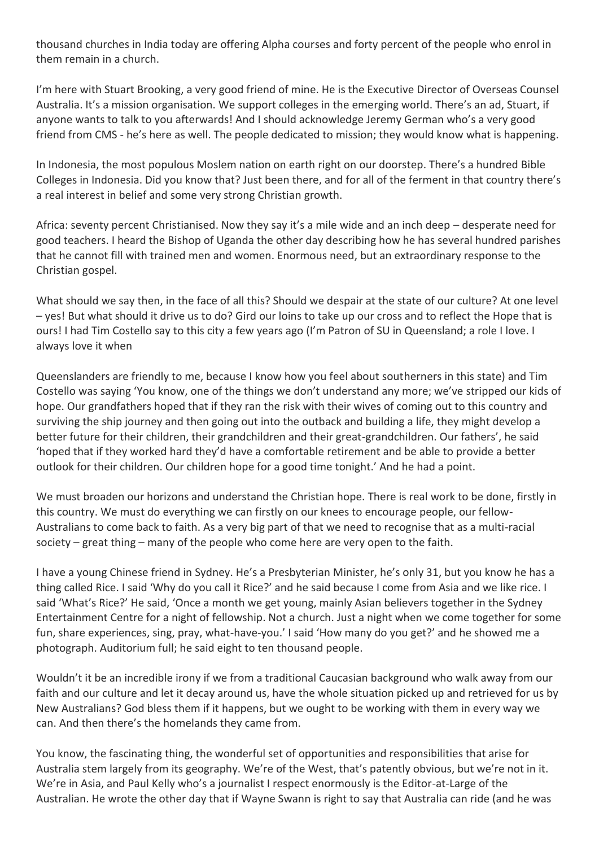thousand churches in India today are offering Alpha courses and forty percent of the people who enrol in them remain in a church.

I'm here with Stuart Brooking, a very good friend of mine. He is the Executive Director of Overseas Counsel Australia. It's a mission organisation. We support colleges in the emerging world. There's an ad, Stuart, if anyone wants to talk to you afterwards! And I should acknowledge Jeremy German who's a very good friend from CMS - he's here as well. The people dedicated to mission; they would know what is happening.

In Indonesia, the most populous Moslem nation on earth right on our doorstep. There's a hundred Bible Colleges in Indonesia. Did you know that? Just been there, and for all of the ferment in that country there's a real interest in belief and some very strong Christian growth.

Africa: seventy percent Christianised. Now they say it's a mile wide and an inch deep – desperate need for good teachers. I heard the Bishop of Uganda the other day describing how he has several hundred parishes that he cannot fill with trained men and women. Enormous need, but an extraordinary response to the Christian gospel.

What should we say then, in the face of all this? Should we despair at the state of our culture? At one level – yes! But what should it drive us to do? Gird our loins to take up our cross and to reflect the Hope that is ours! I had Tim Costello say to this city a few years ago (I'm Patron of SU in Queensland; a role I love. I always love it when

Queenslanders are friendly to me, because I know how you feel about southerners in this state) and Tim Costello was saying 'You know, one of the things we don't understand any more; we've stripped our kids of hope. Our grandfathers hoped that if they ran the risk with their wives of coming out to this country and surviving the ship journey and then going out into the outback and building a life, they might develop a better future for their children, their grandchildren and their great-grandchildren. Our fathers', he said 'hoped that if they worked hard they'd have a comfortable retirement and be able to provide a better outlook for their children. Our children hope for a good time tonight.' And he had a point.

We must broaden our horizons and understand the Christian hope. There is real work to be done, firstly in this country. We must do everything we can firstly on our knees to encourage people, our fellow-Australians to come back to faith. As a very big part of that we need to recognise that as a multi-racial society – great thing – many of the people who come here are very open to the faith.

I have a young Chinese friend in Sydney. He's a Presbyterian Minister, he's only 31, but you know he has a thing called Rice. I said 'Why do you call it Rice?' and he said because I come from Asia and we like rice. I said 'What's Rice?' He said, 'Once a month we get young, mainly Asian believers together in the Sydney Entertainment Centre for a night of fellowship. Not a church. Just a night when we come together for some fun, share experiences, sing, pray, what-have-you.' I said 'How many do you get?' and he showed me a photograph. Auditorium full; he said eight to ten thousand people.

Wouldn't it be an incredible irony if we from a traditional Caucasian background who walk away from our faith and our culture and let it decay around us, have the whole situation picked up and retrieved for us by New Australians? God bless them if it happens, but we ought to be working with them in every way we can. And then there's the homelands they came from.

You know, the fascinating thing, the wonderful set of opportunities and responsibilities that arise for Australia stem largely from its geography. We're of the West, that's patently obvious, but we're not in it. We're in Asia, and Paul Kelly who's a journalist I respect enormously is the Editor-at-Large of the Australian. He wrote the other day that if Wayne Swann is right to say that Australia can ride (and he was